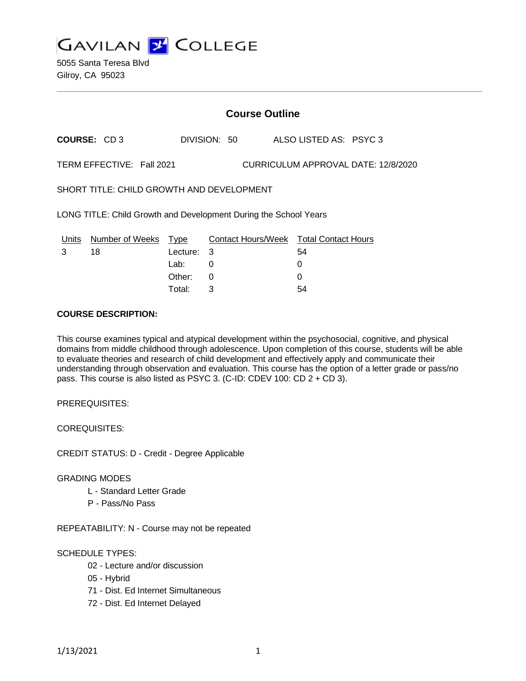

## **Course Outline**

**COURSE:** CD 3 DIVISION: 50 ALSO LISTED AS: PSYC 3

TERM EFFECTIVE: Fall 2021 CURRICULUM APPROVAL DATE: 12/8/2020

SHORT TITLE: CHILD GROWTH AND DEVELOPMENT

LONG TITLE: Child Growth and Development During the School Years

| Units | Number of Weeks Type |            | Contact Hours/Week Total Contact Hours |    |
|-------|----------------------|------------|----------------------------------------|----|
| 3     | 18                   | Lecture: 3 |                                        | 54 |
|       |                      | Lab:       |                                        |    |
|       |                      | Other: 0   |                                        |    |
|       |                      | Total:     |                                        | 54 |

# **COURSE DESCRIPTION:**

This course examines typical and atypical development within the psychosocial, cognitive, and physical domains from middle childhood through adolescence. Upon completion of this course, students will be able to evaluate theories and research of child development and effectively apply and communicate their understanding through observation and evaluation. This course has the option of a letter grade or pass/no pass. This course is also listed as PSYC 3. (C-ID: CDEV 100: CD 2 + CD 3).

PREREQUISITES:

COREQUISITES:

CREDIT STATUS: D - Credit - Degree Applicable

#### GRADING MODES

- L Standard Letter Grade
- P Pass/No Pass

REPEATABILITY: N - Course may not be repeated

### SCHEDULE TYPES:

- 02 Lecture and/or discussion
- 05 Hybrid
- 71 Dist. Ed Internet Simultaneous
- 72 Dist. Ed Internet Delayed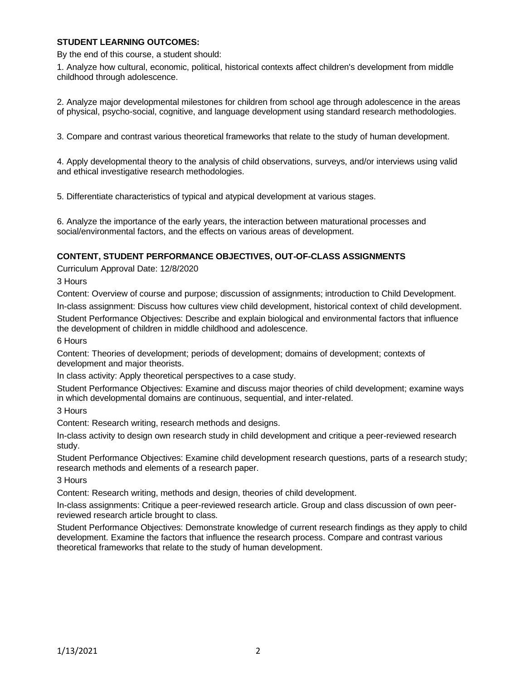### **STUDENT LEARNING OUTCOMES:**

By the end of this course, a student should:

1. Analyze how cultural, economic, political, historical contexts affect children's development from middle childhood through adolescence.

2. Analyze major developmental milestones for children from school age through adolescence in the areas of physical, psycho-social, cognitive, and language development using standard research methodologies.

3. Compare and contrast various theoretical frameworks that relate to the study of human development.

4. Apply developmental theory to the analysis of child observations, surveys, and/or interviews using valid and ethical investigative research methodologies.

5. Differentiate characteristics of typical and atypical development at various stages.

6. Analyze the importance of the early years, the interaction between maturational processes and social/environmental factors, and the effects on various areas of development.

### **CONTENT, STUDENT PERFORMANCE OBJECTIVES, OUT-OF-CLASS ASSIGNMENTS**

Curriculum Approval Date: 12/8/2020

3 Hours

Content: Overview of course and purpose; discussion of assignments; introduction to Child Development.

In-class assignment: Discuss how cultures view child development, historical context of child development.

Student Performance Objectives: Describe and explain biological and environmental factors that influence the development of children in middle childhood and adolescence.

6 Hours

Content: Theories of development; periods of development; domains of development; contexts of development and major theorists.

In class activity: Apply theoretical perspectives to a case study.

Student Performance Objectives: Examine and discuss major theories of child development; examine ways in which developmental domains are continuous, sequential, and inter-related.

3 Hours

Content: Research writing, research methods and designs.

In-class activity to design own research study in child development and critique a peer-reviewed research study.

Student Performance Objectives: Examine child development research questions, parts of a research study; research methods and elements of a research paper.

3 Hours

Content: Research writing, methods and design, theories of child development.

In-class assignments: Critique a peer-reviewed research article. Group and class discussion of own peerreviewed research article brought to class.

Student Performance Objectives: Demonstrate knowledge of current research findings as they apply to child development. Examine the factors that influence the research process. Compare and contrast various theoretical frameworks that relate to the study of human development.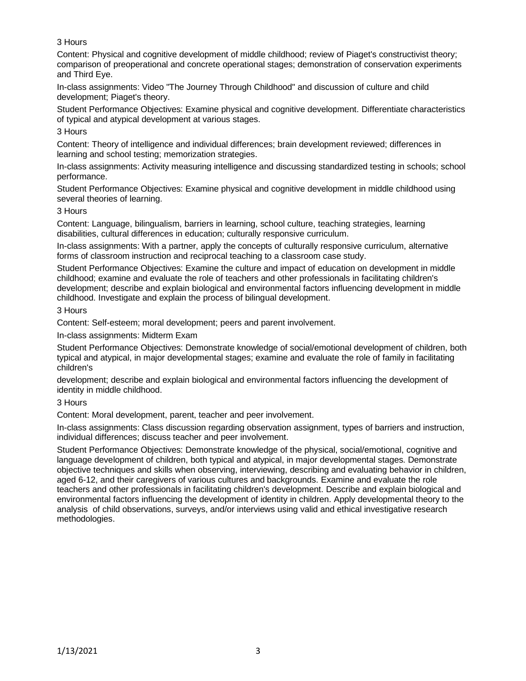# 3 Hours

Content: Physical and cognitive development of middle childhood; review of Piaget's constructivist theory; comparison of preoperational and concrete operational stages; demonstration of conservation experiments and Third Eye.

In-class assignments: Video "The Journey Through Childhood" and discussion of culture and child development; Piaget's theory.

Student Performance Objectives: Examine physical and cognitive development. Differentiate characteristics of typical and atypical development at various stages.

3 Hours

Content: Theory of intelligence and individual differences; brain development reviewed; differences in learning and school testing; memorization strategies.

In-class assignments: Activity measuring intelligence and discussing standardized testing in schools; school performance.

Student Performance Objectives: Examine physical and cognitive development in middle childhood using several theories of learning.

### 3 Hours

Content: Language, bilingualism, barriers in learning, school culture, teaching strategies, learning disabilities, cultural differences in education; culturally responsive curriculum.

In-class assignments: With a partner, apply the concepts of culturally responsive curriculum, alternative forms of classroom instruction and reciprocal teaching to a classroom case study.

Student Performance Objectives: Examine the culture and impact of education on development in middle childhood; examine and evaluate the role of teachers and other professionals in facilitating children's development; describe and explain biological and environmental factors influencing development in middle childhood. Investigate and explain the process of bilingual development.

#### 3 Hours

Content: Self-esteem; moral development; peers and parent involvement.

In-class assignments: Midterm Exam

Student Performance Objectives: Demonstrate knowledge of social/emotional development of children, both typical and atypical, in major developmental stages; examine and evaluate the role of family in facilitating children's

development; describe and explain biological and environmental factors influencing the development of identity in middle childhood.

### 3 Hours

Content: Moral development, parent, teacher and peer involvement.

In-class assignments: Class discussion regarding observation assignment, types of barriers and instruction, individual differences; discuss teacher and peer involvement.

Student Performance Objectives: Demonstrate knowledge of the physical, social/emotional, cognitive and language development of children, both typical and atypical, in major developmental stages. Demonstrate objective techniques and skills when observing, interviewing, describing and evaluating behavior in children, aged 6-12, and their caregivers of various cultures and backgrounds. Examine and evaluate the role teachers and other professionals in facilitating children's development. Describe and explain biological and environmental factors influencing the development of identity in children. Apply developmental theory to the analysis of child observations, surveys, and/or interviews using valid and ethical investigative research methodologies.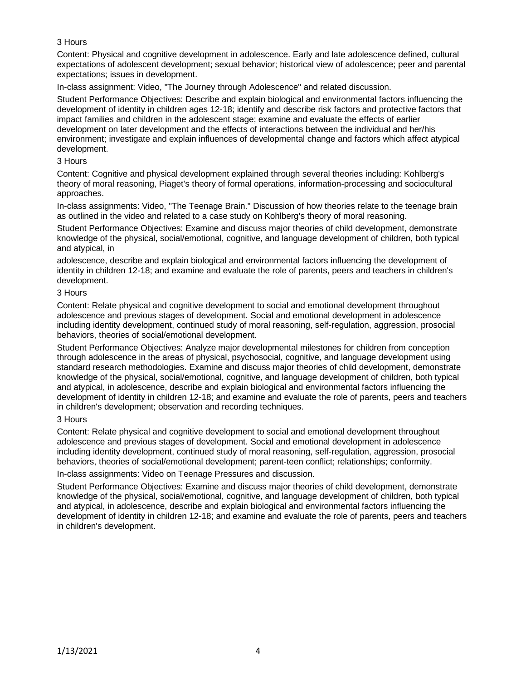## 3 Hours

Content: Physical and cognitive development in adolescence. Early and late adolescence defined, cultural expectations of adolescent development; sexual behavior; historical view of adolescence; peer and parental expectations; issues in development.

In-class assignment: Video, "The Journey through Adolescence" and related discussion.

Student Performance Objectives: Describe and explain biological and environmental factors influencing the development of identity in children ages 12-18; identify and describe risk factors and protective factors that impact families and children in the adolescent stage; examine and evaluate the effects of earlier development on later development and the effects of interactions between the individual and her/his environment; investigate and explain influences of developmental change and factors which affect atypical development.

#### 3 Hours

Content: Cognitive and physical development explained through several theories including: Kohlberg's theory of moral reasoning, Piaget's theory of formal operations, information-processing and sociocultural approaches.

In-class assignments: Video, "The Teenage Brain." Discussion of how theories relate to the teenage brain as outlined in the video and related to a case study on Kohlberg's theory of moral reasoning.

Student Performance Objectives: Examine and discuss major theories of child development, demonstrate knowledge of the physical, social/emotional, cognitive, and language development of children, both typical and atypical, in

adolescence, describe and explain biological and environmental factors influencing the development of identity in children 12-18; and examine and evaluate the role of parents, peers and teachers in children's development.

#### 3 Hours

Content: Relate physical and cognitive development to social and emotional development throughout adolescence and previous stages of development. Social and emotional development in adolescence including identity development, continued study of moral reasoning, self-regulation, aggression, prosocial behaviors, theories of social/emotional development.

Student Performance Objectives: Analyze major developmental milestones for children from conception through adolescence in the areas of physical, psychosocial, cognitive, and language development using standard research methodologies. Examine and discuss major theories of child development, demonstrate knowledge of the physical, social/emotional, cognitive, and language development of children, both typical and atypical, in adolescence, describe and explain biological and environmental factors influencing the development of identity in children 12-18; and examine and evaluate the role of parents, peers and teachers in children's development; observation and recording techniques.

### 3 Hours

Content: Relate physical and cognitive development to social and emotional development throughout adolescence and previous stages of development. Social and emotional development in adolescence including identity development, continued study of moral reasoning, self-regulation, aggression, prosocial behaviors, theories of social/emotional development; parent-teen conflict; relationships; conformity.

In-class assignments: Video on Teenage Pressures and discussion.

Student Performance Objectives: Examine and discuss major theories of child development, demonstrate knowledge of the physical, social/emotional, cognitive, and language development of children, both typical and atypical, in adolescence, describe and explain biological and environmental factors influencing the development of identity in children 12-18; and examine and evaluate the role of parents, peers and teachers in children's development.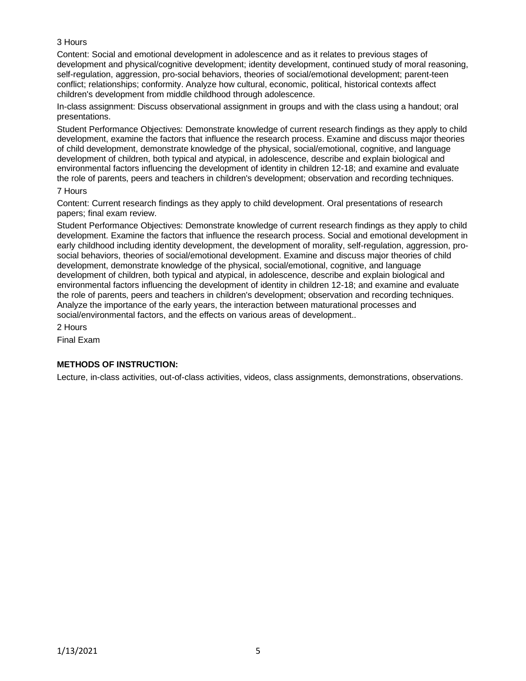# 3 Hours

Content: Social and emotional development in adolescence and as it relates to previous stages of development and physical/cognitive development; identity development, continued study of moral reasoning, self-regulation, aggression, pro-social behaviors, theories of social/emotional development; parent-teen conflict; relationships; conformity. Analyze how cultural, economic, political, historical contexts affect children's development from middle childhood through adolescence.

In-class assignment: Discuss observational assignment in groups and with the class using a handout; oral presentations.

Student Performance Objectives: Demonstrate knowledge of current research findings as they apply to child development, examine the factors that influence the research process. Examine and discuss major theories of child development, demonstrate knowledge of the physical, social/emotional, cognitive, and language development of children, both typical and atypical, in adolescence, describe and explain biological and environmental factors influencing the development of identity in children 12-18; and examine and evaluate the role of parents, peers and teachers in children's development; observation and recording techniques.

#### 7 Hours

Content: Current research findings as they apply to child development. Oral presentations of research papers; final exam review.

Student Performance Objectives: Demonstrate knowledge of current research findings as they apply to child development. Examine the factors that influence the research process. Social and emotional development in early childhood including identity development, the development of morality, self-regulation, aggression, prosocial behaviors, theories of social/emotional development. Examine and discuss major theories of child development, demonstrate knowledge of the physical, social/emotional, cognitive, and language development of children, both typical and atypical, in adolescence, describe and explain biological and environmental factors influencing the development of identity in children 12-18; and examine and evaluate the role of parents, peers and teachers in children's development; observation and recording techniques. Analyze the importance of the early years, the interaction between maturational processes and social/environmental factors, and the effects on various areas of development..

2 Hours

Final Exam

# **METHODS OF INSTRUCTION:**

Lecture, in-class activities, out-of-class activities, videos, class assignments, demonstrations, observations.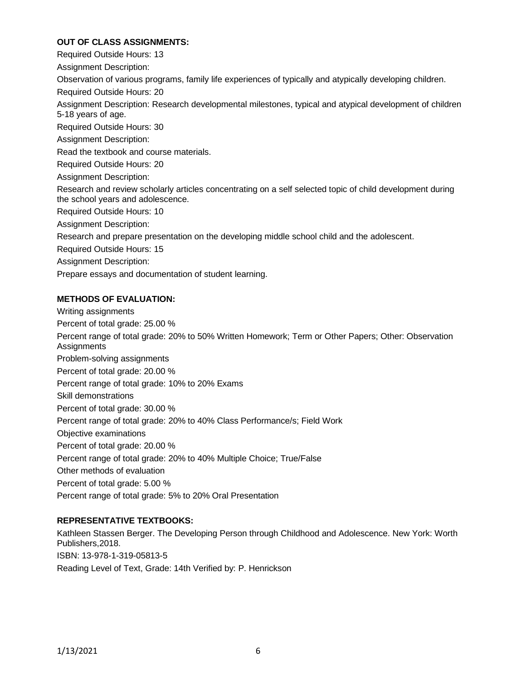## **OUT OF CLASS ASSIGNMENTS:**

Required Outside Hours: 13

Assignment Description:

Observation of various programs, family life experiences of typically and atypically developing children.

Required Outside Hours: 20

Assignment Description: Research developmental milestones, typical and atypical development of children 5-18 years of age.

Required Outside Hours: 30

Assignment Description:

Read the textbook and course materials.

Required Outside Hours: 20

Assignment Description:

Research and review scholarly articles concentrating on a self selected topic of child development during the school years and adolescence.

Required Outside Hours: 10

Assignment Description:

Research and prepare presentation on the developing middle school child and the adolescent.

Required Outside Hours: 15

Assignment Description:

Prepare essays and documentation of student learning.

# **METHODS OF EVALUATION:**

Writing assignments Percent of total grade: 25.00 % Percent range of total grade: 20% to 50% Written Homework; Term or Other Papers; Other: Observation **Assignments** Problem-solving assignments Percent of total grade: 20.00 % Percent range of total grade: 10% to 20% Exams Skill demonstrations Percent of total grade: 30.00 % Percent range of total grade: 20% to 40% Class Performance/s; Field Work Objective examinations Percent of total grade: 20.00 % Percent range of total grade: 20% to 40% Multiple Choice; True/False Other methods of evaluation Percent of total grade: 5.00 % Percent range of total grade: 5% to 20% Oral Presentation

# **REPRESENTATIVE TEXTBOOKS:**

Kathleen Stassen Berger. The Developing Person through Childhood and Adolescence. New York: Worth Publishers,2018. ISBN: 13-978-1-319-05813-5 Reading Level of Text, Grade: 14th Verified by: P. Henrickson